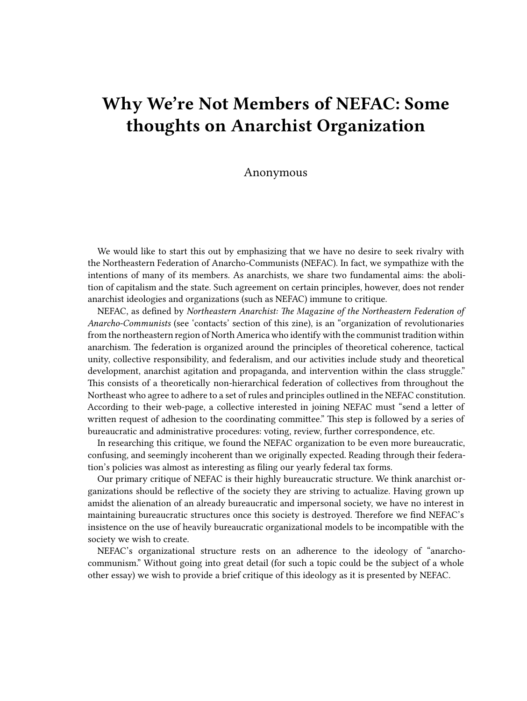## **Why We're Not Members of NEFAC: Some thoughts on Anarchist Organization**

## Anonymous

We would like to start this out by emphasizing that we have no desire to seek rivalry with the Northeastern Federation of Anarcho-Communists (NEFAC). In fact, we sympathize with the intentions of many of its members. As anarchists, we share two fundamental aims: the abolition of capitalism and the state. Such agreement on certain principles, however, does not render anarchist ideologies and organizations (such as NEFAC) immune to critique.

NEFAC, as defined by *Northeastern Anarchist: The Magazine of the Northeastern Federation of Anarcho-Communists* (see 'contacts' section of this zine), is an "organization of revolutionaries from the northeastern region of North America who identify with the communist tradition within anarchism. The federation is organized around the principles of theoretical coherence, tactical unity, collective responsibility, and federalism, and our activities include study and theoretical development, anarchist agitation and propaganda, and intervention within the class struggle." This consists of a theoretically non-hierarchical federation of collectives from throughout the Northeast who agree to adhere to a set of rules and principles outlined in the NEFAC constitution. According to their web-page, a collective interested in joining NEFAC must "send a letter of written request of adhesion to the coordinating committee." This step is followed by a series of bureaucratic and administrative procedures: voting, review, further correspondence, etc.

In researching this critique, we found the NEFAC organization to be even more bureaucratic, confusing, and seemingly incoherent than we originally expected. Reading through their federation's policies was almost as interesting as filing our yearly federal tax forms.

Our primary critique of NEFAC is their highly bureaucratic structure. We think anarchist organizations should be reflective of the society they are striving to actualize. Having grown up amidst the alienation of an already bureaucratic and impersonal society, we have no interest in maintaining bureaucratic structures once this society is destroyed. Therefore we find NEFAC's insistence on the use of heavily bureaucratic organizational models to be incompatible with the society we wish to create.

NEFAC's organizational structure rests on an adherence to the ideology of "anarchocommunism." Without going into great detail (for such a topic could be the subject of a whole other essay) we wish to provide a brief critique of this ideology as it is presented by NEFAC.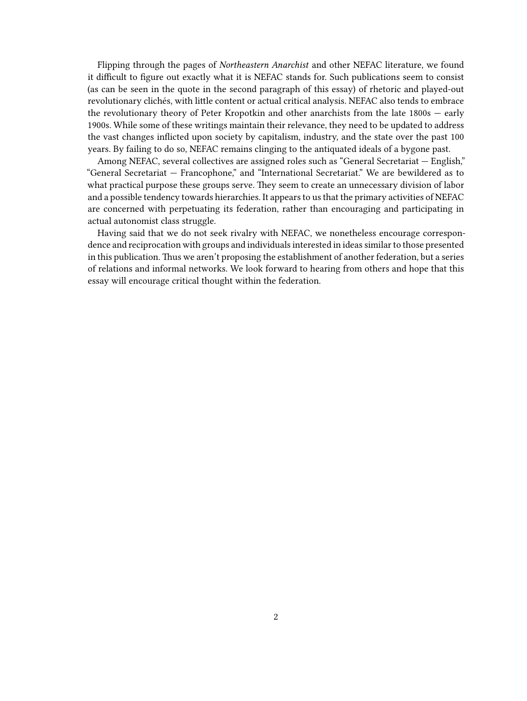Flipping through the pages of *Northeastern Anarchist* and other NEFAC literature, we found it difficult to figure out exactly what it is NEFAC stands for. Such publications seem to consist (as can be seen in the quote in the second paragraph of this essay) of rhetoric and played-out revolutionary clichés, with little content or actual critical analysis. NEFAC also tends to embrace the revolutionary theory of Peter Kropotkin and other anarchists from the late 1800s — early 1900s. While some of these writings maintain their relevance, they need to be updated to address the vast changes inflicted upon society by capitalism, industry, and the state over the past 100 years. By failing to do so, NEFAC remains clinging to the antiquated ideals of a bygone past.

Among NEFAC, several collectives are assigned roles such as "General Secretariat — English," "General Secretariat — Francophone," and "International Secretariat." We are bewildered as to what practical purpose these groups serve. They seem to create an unnecessary division of labor and a possible tendency towards hierarchies. It appears to us that the primary activities of NEFAC are concerned with perpetuating its federation, rather than encouraging and participating in actual autonomist class struggle.

Having said that we do not seek rivalry with NEFAC, we nonetheless encourage correspondence and reciprocation with groups and individuals interested in ideas similar to those presented in this publication. Thus we aren't proposing the establishment of another federation, but a series of relations and informal networks. We look forward to hearing from others and hope that this essay will encourage critical thought within the federation.